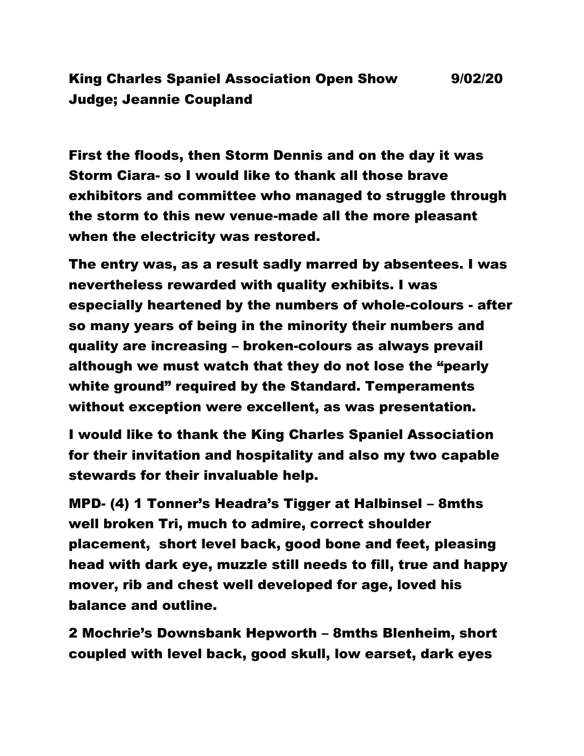## King Charles Spaniel Association Open Show 9/02/20 Judge; Jeannie Coupland

First the floods, then Storm Dennis and on the day it was Storm Ciara- so I would like to thank all those brave exhibitors and committee who managed to struggle through the storm to this new venue-made all the more pleasant when the electricity was restored.

The entry was, as a result sadly marred by absentees. I was nevertheless rewarded with quality exhibits. I was especially heartened by the numbers of whole-colours - after so many years of being in the minority their numbers and quality are increasing – broken-colours as always prevail although we must watch that they do not lose the "pearly white ground" required by the Standard. Temperaments without exception were excellent, as was presentation.

I would like to thank the King Charles Spaniel Association for their invitation and hospitality and also my two capable stewards for their invaluable help.

MPD- (4) 1 Tonner's Headra's Tigger at Halbinsel – 8mths well broken Tri, much to admire, correct shoulder placement, short level back, good bone and feet, pleasing head with dark eye, muzzle still needs to fill, true and happy mover, rib and chest well developed for age, loved his balance and outline.

2 Mochrie's Downsbank Hepworth – 8mths Blenheim, short coupled with level back, good skull, low earset, dark eyes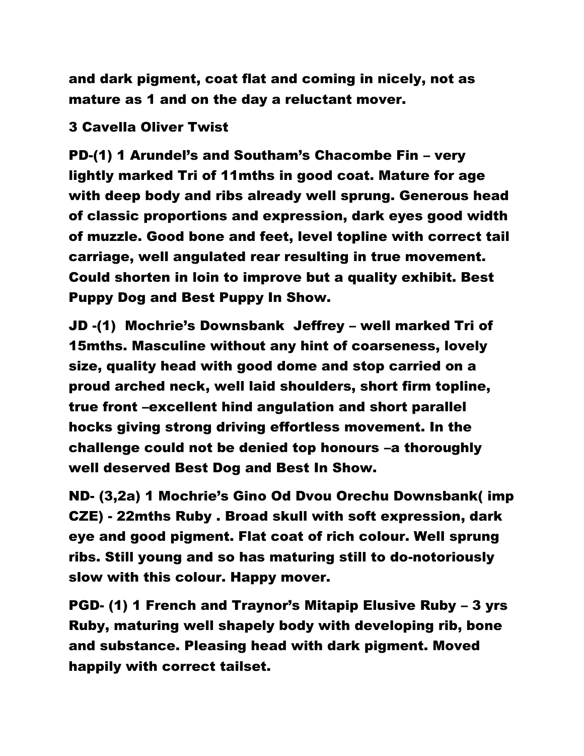and dark pigment, coat flat and coming in nicely, not as mature as 1 and on the day a reluctant mover.

## 3 Cavella Oliver Twist

PD-(1) 1 Arundel's and Southam's Chacombe Fin – very lightly marked Tri of 11mths in good coat. Mature for age with deep body and ribs already well sprung. Generous head of classic proportions and expression, dark eyes good width of muzzle. Good bone and feet, level topline with correct tail carriage, well angulated rear resulting in true movement. Could shorten in loin to improve but a quality exhibit. Best Puppy Dog and Best Puppy In Show.

JD -(1) Mochrie's Downsbank Jeffrey – well marked Tri of 15mths. Masculine without any hint of coarseness, lovely size, quality head with good dome and stop carried on a proud arched neck, well laid shoulders, short firm topline, true front –excellent hind angulation and short parallel hocks giving strong driving effortless movement. In the challenge could not be denied top honours –a thoroughly well deserved Best Dog and Best In Show.

ND- (3,2a) 1 Mochrie's Gino Od Dvou Orechu Downsbank( imp CZE) - 22mths Ruby . Broad skull with soft expression, dark eye and good pigment. Flat coat of rich colour. Well sprung ribs. Still young and so has maturing still to do-notoriously slow with this colour. Happy mover.

PGD- (1) 1 French and Traynor's Mitapip Elusive Ruby – 3 yrs Ruby, maturing well shapely body with developing rib, bone and substance. Pleasing head with dark pigment. Moved happily with correct tailset.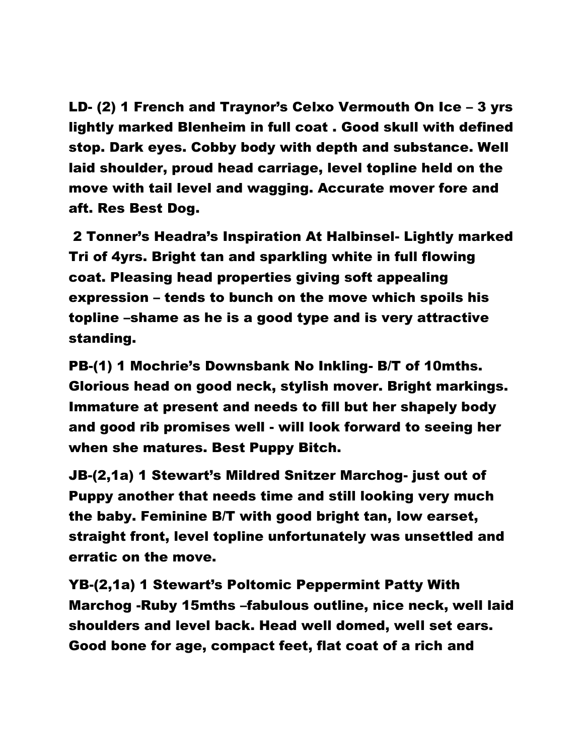LD- (2) 1 French and Traynor's Celxo Vermouth On Ice – 3 yrs lightly marked Blenheim in full coat . Good skull with defined stop. Dark eyes. Cobby body with depth and substance. Well laid shoulder, proud head carriage, level topline held on the move with tail level and wagging. Accurate mover fore and aft. Res Best Dog.

2 Tonner's Headra's Inspiration At Halbinsel- Lightly marked Tri of 4yrs. Bright tan and sparkling white in full flowing coat. Pleasing head properties giving soft appealing expression – tends to bunch on the move which spoils his topline –shame as he is a good type and is very attractive standing.

PB-(1) 1 Mochrie's Downsbank No Inkling- B/T of 10mths. Glorious head on good neck, stylish mover. Bright markings. Immature at present and needs to fill but her shapely body and good rib promises well - will look forward to seeing her when she matures. Best Puppy Bitch.

JB-(2,1a) 1 Stewart's Mildred Snitzer Marchog- just out of Puppy another that needs time and still looking very much the baby. Feminine B/T with good bright tan, low earset, straight front, level topline unfortunately was unsettled and erratic on the move.

YB-(2,1a) 1 Stewart's Poltomic Peppermint Patty With Marchog -Ruby 15mths –fabulous outline, nice neck, well laid shoulders and level back. Head well domed, well set ears. Good bone for age, compact feet, flat coat of a rich and